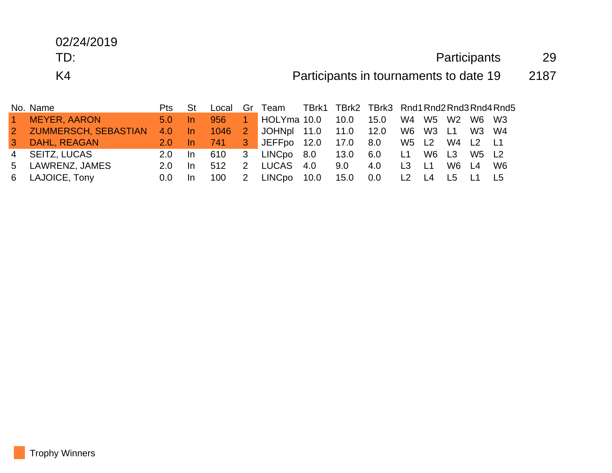## 02/24/2019

## TD: Participants 29

K4 **Participants in tournaments to date 19** 2187

|   | No. Name               | Pts            | -St |      |             | Local Gr Team TBrk1 TBrk2 TBrk3 Rnd1 Rnd2 Rnd3 Rnd4 Rnd5 |      |     |                |           |                |      |
|---|------------------------|----------------|-----|------|-------------|----------------------------------------------------------|------|-----|----------------|-----------|----------------|------|
|   | <b>MEYER, AARON</b>    | $5.0 -$        | -In | 956  |             | $\blacksquare$ HOLYma 10.0                               |      |     |                |           | W4 W5 W2 W6 W3 |      |
|   | 2 ZUMMERSCH, SEBASTIAN | 4.0 In         |     |      |             | 1046 2 JOHNpl 11.0 11.0 12.0 W6 W3 L1 W3 W4              |      |     |                |           |                |      |
| 3 | DAHL, REAGAN           | $2.0 \quad$ In |     | -741 |             | 3 JEFFpo 12.0 17.0 8.0 W5 L2 W4 L2 L1                    |      |     |                |           |                |      |
|   | 4 SEITZ, LUCAS         | $2.0 \quad$ In |     | 610  |             | 3 LINCpo 8.0 13.0 6.0                                    |      |     |                |           | L1 W6 L3 W5 L2 |      |
|   | 5 LAWRENZ, JAMES       | 2.0            | In. | 512  | 2           | LUCAS 4.0                                                | 9.0  | 4.0 | L <sub>3</sub> | <b>L1</b> | W6 L4          | - W6 |
|   | 6 LAJOICE, Tony        | 0.0            |     | 100  | $2^{\circ}$ | LINCpo 10.0                                              | 15.0 | 0.0 | L2 L4          |           | - L5 L1        | L5   |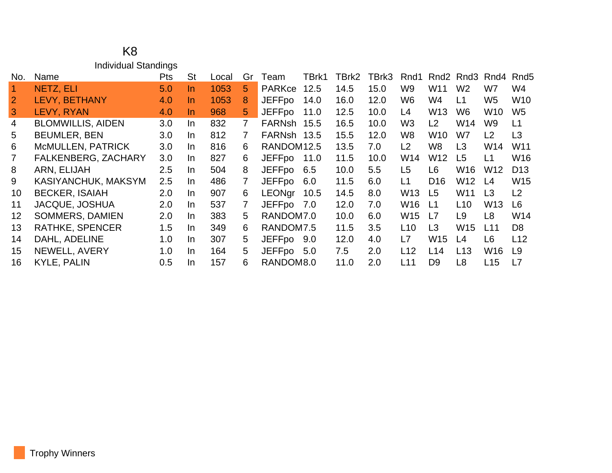## K8 Individual Standings

| No.               | Name                       | <b>Pts</b> | <b>St</b> | Local | Gr | Team                   | TBrk1 | TBrk2 | TBrk3 | Rnd1            | Rnd <sub>2</sub> | Rnd3            | Rnd4            | Rnd5            |
|-------------------|----------------------------|------------|-----------|-------|----|------------------------|-------|-------|-------|-----------------|------------------|-----------------|-----------------|-----------------|
|                   | NETZ, ELI                  | 5.0        | In.       | 1053  | 5  | <b>PARKce</b>          | 12.5  | 14.5  | 15.0  | W <sub>9</sub>  | W <sub>11</sub>  | W <sub>2</sub>  | W7              | W4              |
| $\overline{2}$    | LEVY, BETHANY              | 4.0        | In.       | 1053  | 8  | <b>JEFFpo</b>          | 14.0  | 16.0  | 12.0  | W <sub>6</sub>  | W4               | L1              | W <sub>5</sub>  | <b>W10</b>      |
| 3                 | LEVY, RYAN                 | 4.0        | In.       | 968   | 5  | <b>JEFFpo</b>          | 11.0  | 12.5  | 10.0  | L4              | W <sub>13</sub>  | W6              | W10             | W <sub>5</sub>  |
| 4                 | <b>BLOMWILLIS, AIDEN</b>   | 3.0        | In.       | 832   | 7  | FARNsh                 | 15.5  | 16.5  | 10.0  | W <sub>3</sub>  | L2               | W14             | W <sub>9</sub>  | L1              |
| 5                 | <b>BEUMLER, BEN</b>        | 3.0        | In.       | 812   | 7  | FARNsh 13.5            |       | 15.5  | 12.0  | W8              | W <sub>10</sub>  | W7              | L2              | L3              |
| 6                 | <b>McMULLEN, PATRICK</b>   | 3.0        | In.       | 816   | 6  | RANDOM <sub>12.5</sub> |       | 13.5  | 7.0   | L2              | W8               | L <sub>3</sub>  | W14             | W11             |
|                   | <b>FALKENBERG, ZACHARY</b> | 3.0        | In.       | 827   | 6  | <b>JEFFpo</b>          | 11.0  | 11.5  | 10.0  | W14             | W12              | L5              | L1              | W <sub>16</sub> |
| 8                 | ARN, ELIJAH                | 2.5        | In.       | 504   | 8  | <b>JEFFpo</b>          | 6.5   | 10.0  | 5.5   | L <sub>5</sub>  | L6               | W <sub>16</sub> | W <sub>12</sub> | D <sub>13</sub> |
| 9                 | KASIYANCHUK, MAKSYM        | 2.5        | In.       | 486   |    | JEFFpo                 | 6.0   | 11.5  | 6.0   | L1              | D <sub>16</sub>  | W12             | L4              | W15             |
| 10                | <b>BECKER, ISAIAH</b>      | 2.0        | In.       | 907   | 6  | <b>LEONgr</b>          | 10.5  | 14.5  | 8.0   | W13             | L <sub>5</sub>   | W <sub>11</sub> | L <sub>3</sub>  | L <sub>2</sub>  |
| 11                | <b>JACQUE, JOSHUA</b>      | 2.0        | In.       | 537   | 7  | <b>JEFFpo</b>          | 7.0   | 12.0  | 7.0   | W16             | L1               | L <sub>10</sub> | W <sub>13</sub> | L <sub>6</sub>  |
| $12 \overline{ }$ | <b>SOMMERS, DAMIEN</b>     | 2.0        | In.       | 383   | 5. | RANDOM7.0              |       | 10.0  | 6.0   | W15             | L7               | L9              | L <sub>8</sub>  | W14             |
| 13                | <b>RATHKE, SPENCER</b>     | 1.5        | In.       | 349   | 6  | RANDOM7.5              |       | 11.5  | 3.5   | L10             | L3               | W15             | L11             | D <sub>8</sub>  |
| 14                | DAHL, ADELINE              | 1.0        | In.       | 307   | 5. | <b>JEFFpo</b>          | 9.0   | 12.0  | 4.0   | L7              | W <sub>15</sub>  | L4              | L <sub>6</sub>  | L12             |
| 15                | NEWELL, AVERY              | 1.0        | In.       | 164   | 5. | <b>JEFFpo</b>          | - 5.0 | 7.5   | 2.0   | L12             | L14              | L13             | W <sub>16</sub> | L <sub>9</sub>  |
| 16                | <b>KYLE, PALIN</b>         | 0.5        | In.       | 157   | 6  | RANDOM8.0              |       | 11.0  | 2.0   | L <sub>11</sub> | D <sub>9</sub>   | L8              | L15             | L7              |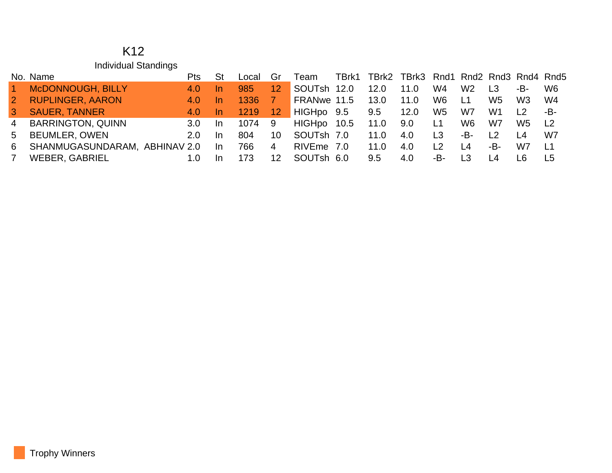| K <sub>12</sub>      |
|----------------------|
| Individual Standings |

|                | No. Name                      | Pts.             |     | Local  | Gr              | Team        |      | TBrk1 TBrk2 TBrk3 Rnd1 Rnd2 Rnd3 Rnd4 Rnd5 |      |                |                 |                |                 |                |
|----------------|-------------------------------|------------------|-----|--------|-----------------|-------------|------|--------------------------------------------|------|----------------|-----------------|----------------|-----------------|----------------|
| $\vert$ 1      | McDONNOUGH, BILLY             | 4.0              | -In | 985    | 12 <sup>°</sup> | SOUTsh      | 12.0 | 12.0                                       | 11.0 | W4             | W <sub>2</sub>  | L <sub>3</sub> | -B-             | W6             |
| $\sqrt{2}$     | <b>RUPLINGER, AARON</b>       | 4.0              | -In | 1336   |                 | FRANwe 11.5 |      | 13.0                                       | 11.0 | W6             | L1              | W5             | W <sub>3</sub>  | - W4           |
| $\mathbf{3}$   | <b>SAUER, TANNER</b>          | 4.0              | -In | 1219   | 12 <sup>2</sup> | HIGHpo 9.5  |      | 9.5                                        | 12.0 | W <sub>5</sub> | W7              | W1             | L <sub>2</sub>  | -B-            |
| $\overline{4}$ | <b>BARRINGTON, QUINN</b>      | 3.0 <sub>1</sub> | -In | 1074 9 |                 | HIGHpo 10.5 |      | 11.0                                       | 9.0  | L1             | W6              | W7             | W5              | L <sub>2</sub> |
| 5 <sup>5</sup> | <b>BEUMLER, OWEN</b>          | 2.0 <sub>1</sub> | -In | 804.   | 10              | SOUTsh 7.0  |      | 11.0                                       | 4.0  | L <sub>3</sub> | -B-             | $\vert$   2    | $\overline{14}$ | W7             |
| 6              | SHANMUGASUNDARAM, ABHINAV 2.0 |                  | In  | 766    | $\overline{4}$  | RIVEme 7.0  |      | 11.0                                       | 4.0  | L <sub>2</sub> | $\overline{14}$ | -B-1           | W7              | - L1           |
|                | WEBER, GABRIEL                | 1.0              | -In | 173    | 12 <sup>°</sup> | SOUTsh 6.0  |      | 9.5                                        | 4.0  | -B-            | L3              |                | I 6             | L5             |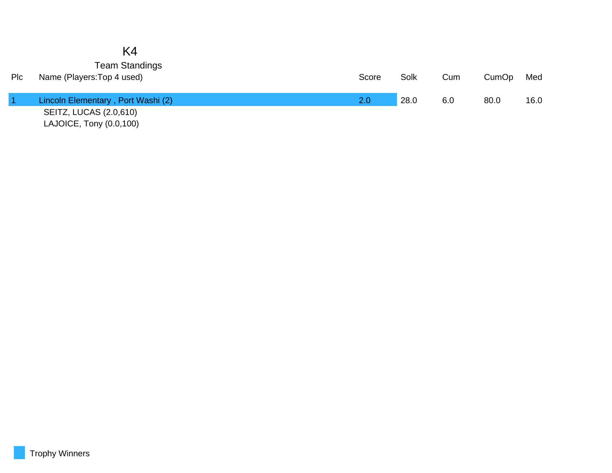## K4 Team Standings

| Plc | Name (Players: Top 4 used)         | Score | Solk | Cum | CumOp | Med  |
|-----|------------------------------------|-------|------|-----|-------|------|
|     | Lincoln Elementary, Port Washi (2) | 2.0   | 28.0 | 6.0 | 80.0  | 16.0 |
|     | SEITZ, LUCAS (2.0,610)             |       |      |     |       |      |
|     | LAJOICE, Tony (0.0,100)            |       |      |     |       |      |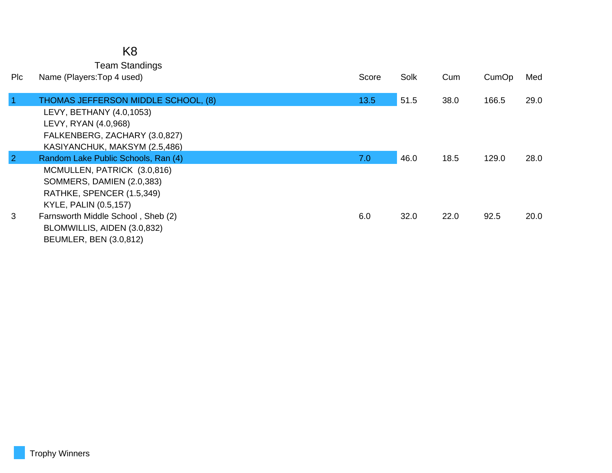|                | <b>Team Standings</b>               |       |      |      |       |      |
|----------------|-------------------------------------|-------|------|------|-------|------|
| Pic            | Name (Players: Top 4 used)          | Score | Solk | Cum  | CumOp | Med  |
|                |                                     |       |      |      |       |      |
| $\overline{1}$ | THOMAS JEFFERSON MIDDLE SCHOOL, (8) | 13.5  | 51.5 | 38.0 | 166.5 | 29.0 |
|                | LEVY, BETHANY (4.0,1053)            |       |      |      |       |      |
|                | LEVY, RYAN (4.0,968)                |       |      |      |       |      |
|                | FALKENBERG, ZACHARY (3.0,827)       |       |      |      |       |      |
|                | KASIYANCHUK, MAKSYM (2.5,486)       |       |      |      |       |      |
| $\overline{2}$ | Random Lake Public Schools, Ran (4) | 7.0   | 46.0 | 18.5 | 129.0 | 28.0 |
|                | MCMULLEN, PATRICK (3.0,816)         |       |      |      |       |      |
|                | SOMMERS, DAMIEN (2.0,383)           |       |      |      |       |      |
|                | RATHKE, SPENCER (1.5,349)           |       |      |      |       |      |
|                | KYLE, PALIN (0.5,157)               |       |      |      |       |      |
| 3              | Farnsworth Middle School, Sheb (2)  | 6.0   | 32.0 | 22.0 | 92.5  | 20.0 |
|                | BLOMWILLIS, AIDEN (3.0,832)         |       |      |      |       |      |
|                | <b>BEUMLER, BEN (3.0,812)</b>       |       |      |      |       |      |

K8